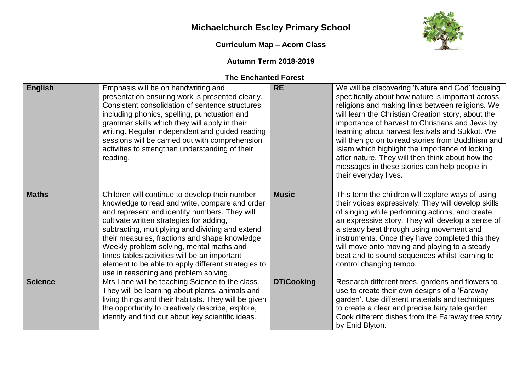## **Michaelchurch Escley Primary School**

## **Curriculum Map – Acorn Class**



## **Autumn Term 2018-2019**

| <b>The Enchanted Forest</b> |                                                                                                                                                                                                                                                                                                                                                                                                                                                                                                 |                   |                                                                                                                                                                                                                                                                                                                                                                                                                                                                                                                                                            |  |
|-----------------------------|-------------------------------------------------------------------------------------------------------------------------------------------------------------------------------------------------------------------------------------------------------------------------------------------------------------------------------------------------------------------------------------------------------------------------------------------------------------------------------------------------|-------------------|------------------------------------------------------------------------------------------------------------------------------------------------------------------------------------------------------------------------------------------------------------------------------------------------------------------------------------------------------------------------------------------------------------------------------------------------------------------------------------------------------------------------------------------------------------|--|
| <b>English</b>              | Emphasis will be on handwriting and<br>presentation ensuring work is presented clearly.<br>Consistent consolidation of sentence structures<br>including phonics, spelling, punctuation and<br>grammar skills which they will apply in their<br>writing. Regular independent and guided reading<br>sessions will be carried out with comprehension<br>activities to strengthen understanding of their<br>reading.                                                                                | <b>RE</b>         | We will be discovering 'Nature and God' focusing<br>specifically about how nature is important across<br>religions and making links between religions. We<br>will learn the Christian Creation story, about the<br>importance of harvest to Christians and Jews by<br>learning about harvest festivals and Sukkot. We<br>will then go on to read stories from Buddhism and<br>Islam which highlight the importance of looking<br>after nature. They will then think about how the<br>messages in these stories can help people in<br>their everyday lives. |  |
| <b>Maths</b>                | Children will continue to develop their number<br>knowledge to read and write, compare and order<br>and represent and identify numbers. They will<br>cultivate written strategies for adding,<br>subtracting, multiplying and dividing and extend<br>their measures, fractions and shape knowledge.<br>Weekly problem solving, mental maths and<br>times tables activities will be an important<br>element to be able to apply different strategies to<br>use in reasoning and problem solving. | <b>Music</b>      | This term the children will explore ways of using<br>their voices expressively. They will develop skills<br>of singing while performing actions, and create<br>an expressive story. They will develop a sense of<br>a steady beat through using movement and<br>instruments. Once they have completed this they<br>will move onto moving and playing to a steady<br>beat and to sound sequences whilst learning to<br>control changing tempo.                                                                                                              |  |
| <b>Science</b>              | Mrs Lane will be teaching Science to the class.<br>They will be learning about plants, animals and<br>living things and their habitats. They will be given<br>the opportunity to creatively describe, explore,<br>identify and find out about key scientific ideas.                                                                                                                                                                                                                             | <b>DT/Cooking</b> | Research different trees, gardens and flowers to<br>use to create their own designs of a 'Faraway<br>garden'. Use different materials and techniques<br>to create a clear and precise fairy tale garden.<br>Cook different dishes from the Faraway tree story<br>by Enid Blyton.                                                                                                                                                                                                                                                                           |  |